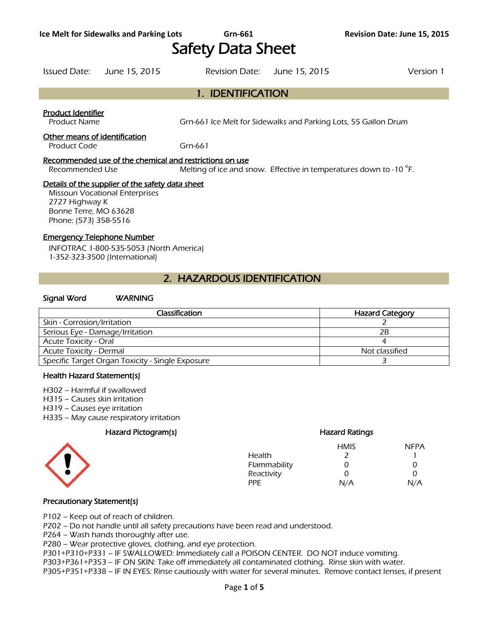# Safety Data Sheet

1. IDENTIFICATION

## Issued Date: June 15, 2015 Revision Date: June 15, 2015 Version 1

Product Identifier

Product Name Grn-661 Ice Melt for Sidewalks and Parking Lots, 55 Gallon Drum

#### Other means of identification

Product Code Grn-661

#### Recommended use of the chemical and restrictions on use

Recommended Use Melting of ice and snow. Effective in temperatures down to -10 $\degree$ F.

#### Details of the supplier of the safety data sheet

Missouri Vocational Enterprises 2727 Highway K Bonne Terre, MO 63628 Phone: (573) 358-5516

## Emergency Telephone Number

INFOTRAC 1-800-535-5053 (North America) 1-352-323-3500 (International)

# 2. HAZARDOUS IDENTIFICATION

#### Signal Word WARNING

| Classification                                   | <b>Hazard Category</b> |
|--------------------------------------------------|------------------------|
| Skin - Corrosion/Irritation                      |                        |
| Serious Eye - Damage/Irritation                  | 2B                     |
| <b>Acute Toxicity - Oral</b>                     |                        |
| <b>Acute Toxicity - Dermal</b>                   | Not classified         |
| Specific Target Organ Toxicity - Single Exposure |                        |
|                                                  |                        |

#### Health Hazard Statement(s)

H302 – Harmful if swallowed

- H315 Causes skin irritation
- H319 Causes eye irritation
- H335 May cause respiratory irritation

# Hazard Pictogram(s) extending the extending Hazard Ratings



# HMIS NFPA Health 2 1 Flammability 0 0 0 Reactivity 0 0<br>PPE N/A N//

PPE N/A N/A

## Precautionary Statement(s)

P102 – Keep out of reach of children.

P202 – Do not handle until all safety precautions have been read and understood.

P264 – Wash hands thoroughly after use.

P280 – Wear protective gloves, clothing, and eye protection.

P301+P310+P331 – IF SWALLOWED: Immediately call a POISON CENTER. DO NOT induce vomiting.

P303+P361+P353 – IF ON SKIN: Take off immediately all contaminated clothing. Rinse skin with water.

P305+P351+P338 – IF IN EYES: Rinse cautiously with water for several minutes. Remove contact lenses, if present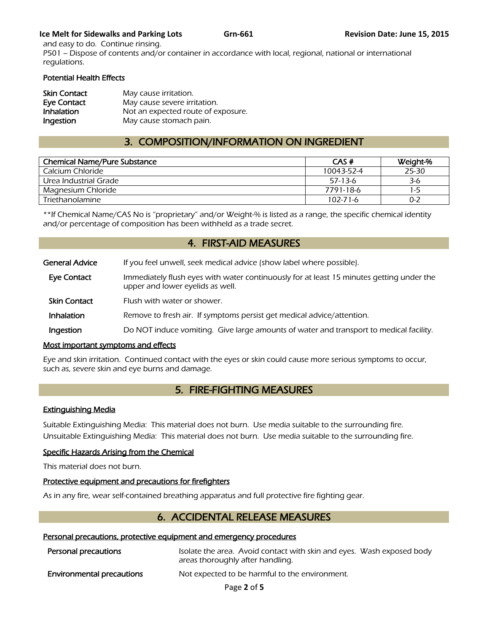## **Ice Melt for Sidewalks and Parking Lots Grn-661 Grn-661 Revision Date: June 15, 2015**

and easy to do. Continue rinsing. P501 – Dispose of contents and/or container in accordance with local, regional, national or international regulations.

## Potential Health Effects

| <b>Skin Contact</b> | May cause irritation.              |
|---------------------|------------------------------------|
| Eye Contact         | May cause severe irritation.       |
| Inhalation          | Not an expected route of exposure. |
| Ingestion           | May cause stomach pain.            |

# 3. COMPOSITION/INFORMATION ON INGREDIENT

| <b>Chemical Name/Pure Substance</b> | CAS#           | Weight-% |
|-------------------------------------|----------------|----------|
| Calcium Chloride                    | 10043-52-4     | 25-30    |
| Urea Industrial Grade               | $57-13-6$      | 3-6      |
| Magnesium Chloride                  | 7791-18-6      | 1-5      |
| Triethanolamine                     | $102 - 71 - 6$ | $0 - 2$  |

\*\*If Chemical Name/CAS No is "proprietary" and/or Weight-% is listed as a range, the specific chemical identity and/or percentage of composition has been withheld as a trade secret.

# 4. FIRST-AID MEASURES

| <b>General Advice</b> | If you feel unwell, seek medical advice (show label where possible).                                                         |
|-----------------------|------------------------------------------------------------------------------------------------------------------------------|
| Eye Contact           | Immediately flush eyes with water continuously for at least 15 minutes getting under the<br>upper and lower eyelids as well. |
| <b>Skin Contact</b>   | Flush with water or shower.                                                                                                  |
| Inhalation            | Remove to fresh air. If symptoms persist get medical advice/attention.                                                       |
| Ingestion             | Do NOT induce vomiting. Give large amounts of water and transport to medical facility.                                       |

## Most important symptoms and effects

Eye and skin irritation. Continued contact with the eyes or skin could cause more serious symptoms to occur, such as, severe skin and eye burns and damage.

# 5. FIRE-FIGHTING MEASURES

## Extinguishing Media

Suitable Extinguishing Media: This material does not burn. Use media suitable to the surrounding fire. Unsuitable Extinguishing Media: This material does not burn. Use media suitable to the surrounding fire.

# Specific Hazards Arising from the Chemical

This material does not burn.

# Protective equipment and precautions for firefighters

As in any fire, wear self-contained breathing apparatus and full protective fire fighting gear.

# 6. ACCIDENTAL RELEASE MEASURES

## Personal precautions, protective equipment and emergency procedures

| Personal precautions             | Isolate the area. Avoid contact with skin and eyes. Wash exposed body<br>areas thoroughly after handling. |  |
|----------------------------------|-----------------------------------------------------------------------------------------------------------|--|
| <b>Environmental precautions</b> | Not expected to be harmful to the environment.                                                            |  |

Page **2** of **5**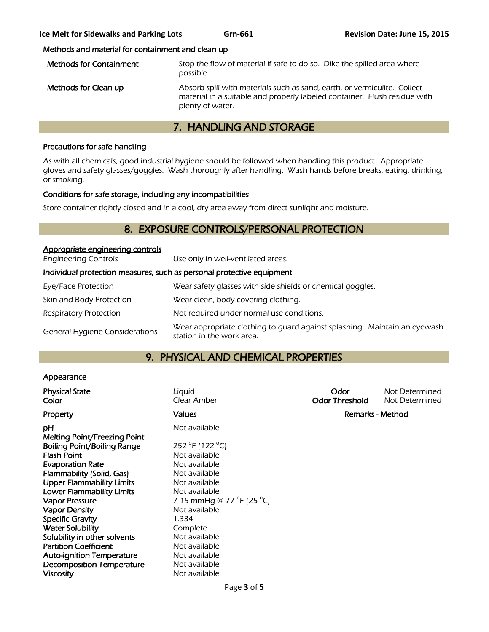# Methods and material for containment and clean up

| <b>Methods for Containment</b> | Stop the flow of material if safe to do so. Dike the spilled area where<br>possible.                                                                                      |
|--------------------------------|---------------------------------------------------------------------------------------------------------------------------------------------------------------------------|
| Methods for Clean up           | Absorb spill with materials such as sand, earth, or vermiculite. Collect<br>material in a suitable and properly labeled container. Flush residue with<br>plenty of water. |

# 7. HANDLING AND STORAGE

# Precautions for safe handling

As with all chemicals, good industrial hygiene should be followed when handling this product. Appropriate gloves and safety glasses/goggles. Wash thoroughly after handling. Wash hands before breaks, eating, drinking, or smoking.

## Conditions for safe storage, including any incompatibilities

Store container tightly closed and in a cool, dry area away from direct sunlight and moisture.

# 8. EXPOSURE CONTROLS/PERSONAL PROTECTION

| Appropriate engineering controls      |                                                                                                        |
|---------------------------------------|--------------------------------------------------------------------------------------------------------|
| <b>Engineering Controls</b>           | Use only in well-ventilated areas.                                                                     |
|                                       | Individual protection measures, such as personal protective equipment                                  |
| Eye/Face Protection                   | Wear safety glasses with side shields or chemical goggles.                                             |
| Skin and Body Protection              | Wear clean, body-covering clothing.                                                                    |
| <b>Respiratory Protection</b>         | Not required under normal use conditions.                                                              |
| <b>General Hygiene Considerations</b> | Wear appropriate clothing to quard against splashing. Maintain an eyewash<br>station in the work area. |

# 9. PHYSICAL AND CHEMICAL PROPERTIES

## **Appearance**

| <b>Physical State</b><br>Color                                     | Liquid<br>Clear Amber                         | Odor<br><b>Odor Threshold</b> | Not Determined<br>Not Determined |
|--------------------------------------------------------------------|-----------------------------------------------|-------------------------------|----------------------------------|
| <b>Property</b>                                                    | <b>Values</b>                                 | <b>Remarks - Method</b>       |                                  |
| рH                                                                 | Not available                                 |                               |                                  |
| Melting Point/Freezing Point<br><b>Boiling Point/Boiling Range</b> | 252 °F (122 °C)                               |                               |                                  |
| <b>Flash Point</b>                                                 | Not available                                 |                               |                                  |
| <b>Evaporation Rate</b>                                            | Not available                                 |                               |                                  |
| Flammability (Solid, Gas)                                          | Not available                                 |                               |                                  |
| <b>Upper Flammability Limits</b>                                   | Not available                                 |                               |                                  |
| <b>Lower Flammability Limits</b>                                   | Not available                                 |                               |                                  |
| <b>Vapor Pressure</b>                                              | 7-15 mmHg @ 77 $^{\circ}$ F (25 $^{\circ}$ C) |                               |                                  |
| <b>Vapor Density</b>                                               | Not available                                 |                               |                                  |
| <b>Specific Gravity</b>                                            | 1.334                                         |                               |                                  |
| <b>Water Solubility</b>                                            | Complete                                      |                               |                                  |
| Solubility in other solvents                                       | Not available                                 |                               |                                  |
| <b>Partition Coefficient</b>                                       | Not available                                 |                               |                                  |
| <b>Auto-ignition Temperature</b>                                   | Not available                                 |                               |                                  |
| <b>Decomposition Temperature</b>                                   | Not available                                 |                               |                                  |
| <b>Viscosity</b>                                                   | Not available                                 |                               |                                  |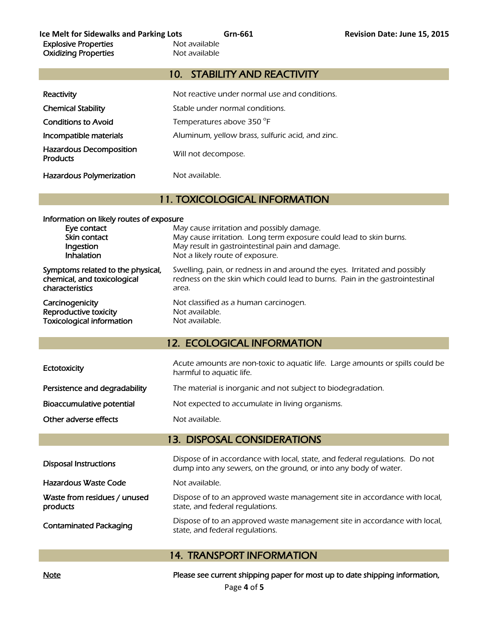# 10. STABILITY AND REACTIVITY

| Reactivity                                        | Not reactive under normal use and conditions.    |
|---------------------------------------------------|--------------------------------------------------|
| <b>Chemical Stability</b>                         | Stable under normal conditions.                  |
| <b>Conditions to Avoid</b>                        | Temperatures above 350 °F                        |
| Incompatible materials                            | Aluminum, yellow brass, sulfuric acid, and zinc. |
| <b>Hazardous Decomposition</b><br><b>Products</b> | Will not decompose.                              |
| <b>Hazardous Polymerization</b>                   | Not available.                                   |

# 11. TOXICOLOGICAL INFORMATION

| Information on likely routes of exposure |                                                                             |  |
|------------------------------------------|-----------------------------------------------------------------------------|--|
| Eye contact                              | May cause irritation and possibly damage.                                   |  |
| Skin contact                             | May cause irritation. Long term exposure could lead to skin burns.          |  |
| Ingestion                                | May result in gastrointestinal pain and damage.                             |  |
| Inhalation                               | Not a likely route of exposure.                                             |  |
| Symptoms related to the physical,        | Swelling, pain, or redness in and around the eyes. Irritated and possibly   |  |
| chemical, and toxicological              | redness on the skin which could lead to burns. Pain in the gastrointestinal |  |
| characteristics                          | area.                                                                       |  |
| Carcinogenicity                          | Not classified as a human carcinogen.                                       |  |
| Reproductive toxicity                    | Not available.                                                              |  |
| <b>Toxicological information</b>         | Not available.                                                              |  |

# 12. ECOLOGICAL INFORMATION

| Ectotoxicity                  | Acute amounts are non-toxic to aquatic life. Large amounts or spills could be<br>harmful to aquatic life. |
|-------------------------------|-----------------------------------------------------------------------------------------------------------|
| Persistence and degradability | The material is inorganic and not subject to biodegradation.                                              |
| Bioaccumulative potential     | Not expected to accumulate in living organisms.                                                           |
| Other adverse effects         | Not available.                                                                                            |

# 13. DISPOSAL CONSIDERATIONS

| <b>Disposal Instructions</b>             | Dispose of in accordance with local, state, and federal regulations. Do not<br>dump into any sewers, on the ground, or into any body of water. |
|------------------------------------------|------------------------------------------------------------------------------------------------------------------------------------------------|
| Hazardous Waste Code                     | Not available.                                                                                                                                 |
| Waste from residues / unused<br>products | Dispose of to an approved waste management site in accordance with local,<br>state, and federal regulations.                                   |
| <b>Contaminated Packaging</b>            | Dispose of to an approved waste management site in accordance with local,<br>state, and federal regulations.                                   |

# 14. TRANSPORT INFORMATION

Note Note **Please see current shipping paper for most up to date shipping information**,